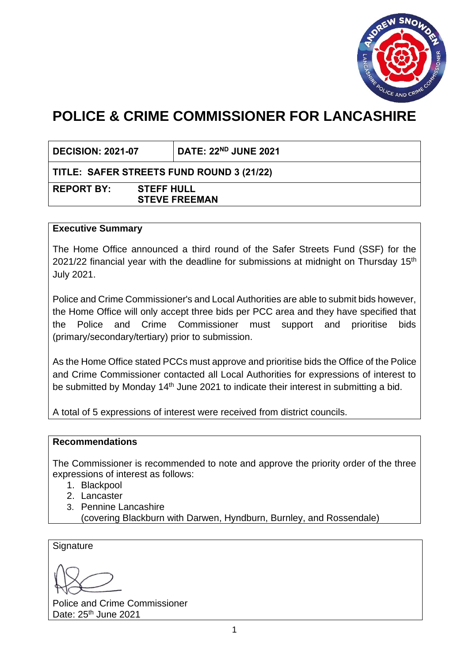

# **POLICE & CRIME COMMISSIONER FOR LANCASHIRE**

**DECISION: 2021-07 DATE: 22ND JUNE 2021**

# **TITLE: SAFER STREETS FUND ROUND 3 (21/22)**

**REPORT BY: STEFF HULL STEVE FREEMAN**

## **Executive Summary**

The Home Office announced a third round of the Safer Streets Fund (SSF) for the 2021/22 financial year with the deadline for submissions at midnight on Thursday  $15<sup>th</sup>$ July 2021.

Police and Crime Commissioner's and Local Authorities are able to submit bids however, the Home Office will only accept three bids per PCC area and they have specified that the Police and Crime Commissioner must support and prioritise bids (primary/secondary/tertiary) prior to submission.

As the Home Office stated PCCs must approve and prioritise bids the Office of the Police and Crime Commissioner contacted all Local Authorities for expressions of interest to be submitted by Monday  $14<sup>th</sup>$  June 2021 to indicate their interest in submitting a bid.

A total of 5 expressions of interest were received from district councils.

## **Recommendations**

The Commissioner is recommended to note and approve the priority order of the three expressions of interest as follows:

- 1. Blackpool
- 2. Lancaster
- 3. Pennine Lancashire
	- (covering Blackburn with Darwen, Hyndburn, Burnley, and Rossendale)

**Signature** 

Police and Crime Commissioner Date: 25<sup>th</sup> June 2021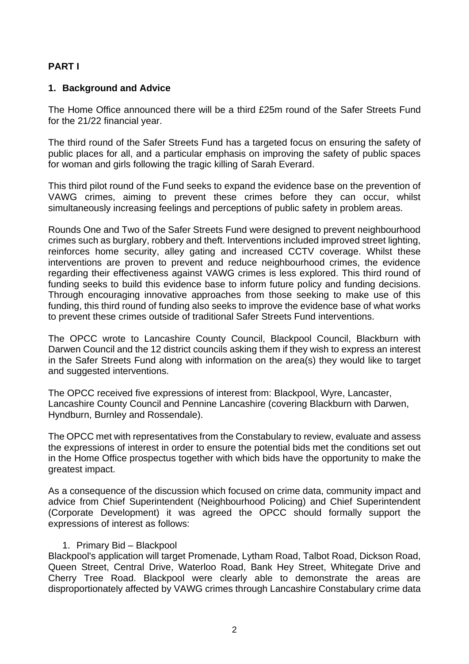# **PART I**

## **1. Background and Advice**

The Home Office announced there will be a third £25m round of the Safer Streets Fund for the 21/22 financial year.

The third round of the Safer Streets Fund has a targeted focus on ensuring the safety of public places for all, and a particular emphasis on improving the safety of public spaces for woman and girls following the tragic killing of Sarah Everard.

This third pilot round of the Fund seeks to expand the evidence base on the prevention of VAWG crimes, aiming to prevent these crimes before they can occur, whilst simultaneously increasing feelings and perceptions of public safety in problem areas.

Rounds One and Two of the Safer Streets Fund were designed to prevent neighbourhood crimes such as burglary, robbery and theft. Interventions included improved street lighting, reinforces home security, alley gating and increased CCTV coverage. Whilst these interventions are proven to prevent and reduce neighbourhood crimes, the evidence regarding their effectiveness against VAWG crimes is less explored. This third round of funding seeks to build this evidence base to inform future policy and funding decisions. Through encouraging innovative approaches from those seeking to make use of this funding, this third round of funding also seeks to improve the evidence base of what works to prevent these crimes outside of traditional Safer Streets Fund interventions.

The OPCC wrote to Lancashire County Council, Blackpool Council, Blackburn with Darwen Council and the 12 district councils asking them if they wish to express an interest in the Safer Streets Fund along with information on the area(s) they would like to target and suggested interventions.

The OPCC received five expressions of interest from: Blackpool, Wyre, Lancaster, Lancashire County Council and Pennine Lancashire (covering Blackburn with Darwen, Hyndburn, Burnley and Rossendale).

The OPCC met with representatives from the Constabulary to review, evaluate and assess the expressions of interest in order to ensure the potential bids met the conditions set out in the Home Office prospectus together with which bids have the opportunity to make the greatest impact.

As a consequence of the discussion which focused on crime data, community impact and advice from Chief Superintendent (Neighbourhood Policing) and Chief Superintendent (Corporate Development) it was agreed the OPCC should formally support the expressions of interest as follows:

## 1. Primary Bid – Blackpool

Blackpool's application will target Promenade, Lytham Road, Talbot Road, Dickson Road, Queen Street, Central Drive, Waterloo Road, Bank Hey Street, Whitegate Drive and Cherry Tree Road. Blackpool were clearly able to demonstrate the areas are disproportionately affected by VAWG crimes through Lancashire Constabulary crime data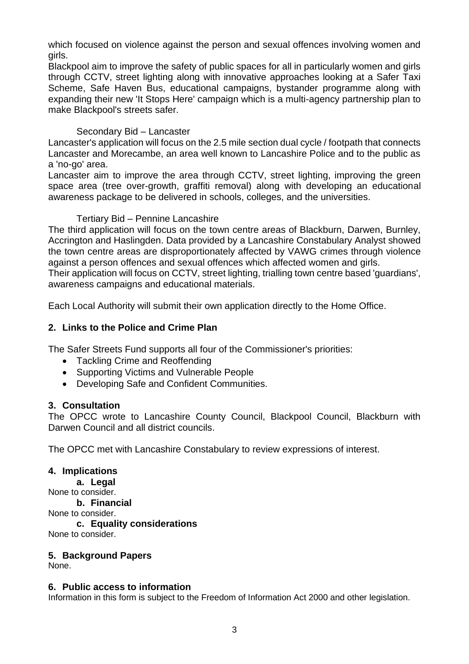which focused on violence against the person and sexual offences involving women and girls.

Blackpool aim to improve the safety of public spaces for all in particularly women and girls through CCTV, street lighting along with innovative approaches looking at a Safer Taxi Scheme, Safe Haven Bus, educational campaigns, bystander programme along with expanding their new 'It Stops Here' campaign which is a multi-agency partnership plan to make Blackpool's streets safer.

## Secondary Bid – Lancaster

Lancaster's application will focus on the 2.5 mile section dual cycle / footpath that connects Lancaster and Morecambe, an area well known to Lancashire Police and to the public as a 'no-go' area.

Lancaster aim to improve the area through CCTV, street lighting, improving the green space area (tree over-growth, graffiti removal) along with developing an educational awareness package to be delivered in schools, colleges, and the universities.

## Tertiary Bid – Pennine Lancashire

The third application will focus on the town centre areas of Blackburn, Darwen, Burnley, Accrington and Haslingden. Data provided by a Lancashire Constabulary Analyst showed the town centre areas are disproportionately affected by VAWG crimes through violence against a person offences and sexual offences which affected women and girls. Their application will focus on CCTV, street lighting, trialling town centre based 'guardians', awareness campaigns and educational materials.

Each Local Authority will submit their own application directly to the Home Office.

# **2. Links to the Police and Crime Plan**

The Safer Streets Fund supports all four of the Commissioner's priorities:

- Tackling Crime and Reoffending
- Supporting Victims and Vulnerable People
- Developing Safe and Confident Communities.

# **3. Consultation**

The OPCC wrote to Lancashire County Council, Blackpool Council, Blackburn with Darwen Council and all district councils.

The OPCC met with Lancashire Constabulary to review expressions of interest.

# **4. Implications**

**a. Legal** None to consider. **b. Financial** None to consider. **c. Equality considerations** None to consider.

# **5. Background Papers**

None.

## **6. Public access to information**

Information in this form is subject to the Freedom of Information Act 2000 and other legislation.